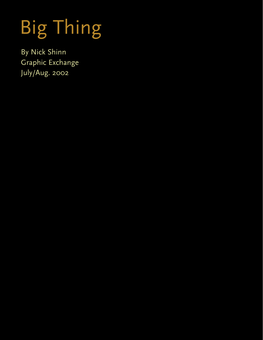# Big Thing

By Nick Shinn Graphic Exchange July/Aug. 2002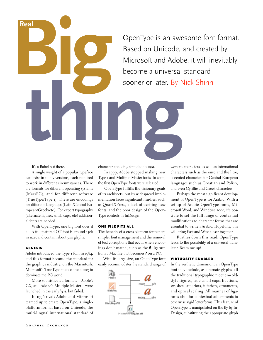# OpenType is an awesome font format. Based on Unicode, and created by Microsoft and Adobe, it will inevitably become a universal standard sooner or later. By Nick Shinn **the Contract System**

It's a Babel out there.

A single weight of a popular typeface can exist in many versions, each required to work in different circumstances. There are formats for different operating systems (Mac/PC), and for different software (TrueType/Type 1). There are encodings for different langauges (Latin/Central European/Greek/etc). For expert typography (alternate figures, small caps, etc) additional fonts are needed.

**Beal** 

**Real**

With OpenType, one big font does it all. A full-featured OT font is around 150k in size, and contain about 500 glyphs.

### GENESIS

Adobe introduced the Type 1 font in 1984, and this format became the standard for the graphics industry, on the Macintosh. Microsoft's TrueType then came along to dominate the PC world.

More sophisticated formats—Apple's GX, and Adobe's Multiple Master—were launched in the early '90s, but failed.

In 1996 rivals Adobe and Microsoft teamed up to create OpenType, a singleplatform format based on Unicode, the multi-lingual international standard of character encoding founded in 1991.

In 1999, Adobe stopped making new Type 1 and Multiple Master fonts. In 2000, the first OpenType fonts were released.

OpenType fulfills the visionary goals of its architects, but its widespread implementation faces significant hurdles, such as QuarkXPress, a lack of exciting new fonts, and the poor design of the Open-Type controls in InDesign.

### ONE FILE FITS ALL

The benefits of a cross-platform format are simpler font management and the removal of text corruptions that occur when encodings don't match, such as the **fi** ligature from a Mac file that becomes **?** on a PC.

With its large size, an OpenType font easily accommodates the standard range of



western characters, as well as international characters such as the euro and the litre, accented characters for Central European languages such as Croatian and Polish, and even Cyrillic and Greek characters.

Perhaps the most significant development of OpenType is for Arabic. With a set-up of Arabic OpenType fonts, Microsoft Word, and Windows 2000, it's possible to set the full range of contextual modifications to character forms that are essential to written Arabic. Hopefully, this will bring East and West closer together.

Further down this road, OpenType leads to the possibility of a universal translator. Beam me up!

### VIRTUOSITY ENABLED

In the aesthetic dimension, an OpenType font may include, as alternate glyphs, all the traditional typographic niceties—oldstyle figures, true small caps, fractions, swashes, superiors, inferiors, ornaments, and optical scaling. All manner of ligatures also, for contextual adjustments to otherwise rigid letterforms. This feature of OpenType is manipulated on the fly by In-Design, substituting the appropriate glyph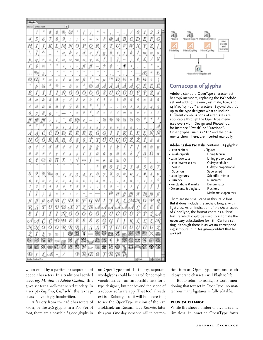| Glypha<br><b>Entire Font</b><br>۰ |                  |     |     |     |                          |             |    |                          |                          |                      |           |     |              |     |                |           |     |        |                      |
|-----------------------------------|------------------|-----|-----|-----|--------------------------|-------------|----|--------------------------|--------------------------|----------------------|-----------|-----|--------------|-----|----------------|-----------|-----|--------|----------------------|
| Show:                             |                  | y3  |     |     |                          |             | ×  |                          |                          |                      |           |     |              |     |                |           |     |        |                      |
|                                   | ŗ                |     | #   | s   | 96                       | Еď          |    |                          |                          | ÷                    | $\ddot{}$ | ×   |              |     |                | 0         | 1   | 2      | 3                    |
| 4                                 | 5                | 6   | 7   | 8   | 9                        | J           | i  | c                        | ÷                        | x                    | ₹         | ω   | A            | В   | C              | D         | E   | F      | G                    |
| Η                                 | Ι                | I   | K   | L   | М                        | Ν           | Ο  | Р                        | 0                        | R                    | S         | Ť   | U            | V   | W              | Χ         | Υ   | Z      |                      |
| ١                                 | 7                | ٨   |     | ú,  | a                        | b           | с  | d                        | ĉ                        |                      | g         | b   | i            | 1   | k              | l         | 192 | п      | 0                    |
| Þ                                 | q,               | Г   | 5   | t   | И                        | v           | w  | x                        | у                        | z                    |           |     | Ì            | ma  | ι              | ¢         | £   | ł      | ¥                    |
| $\dot{f}$                         | §                | ¤   | ٠   | a.  | ĸ                        | ¢           | Þ  | fi                       | fl                       |                      | ÷         | ₽   | i.           | ٠   | ٠              | 3         | ×   | ×      | ×                    |
| $\cdots$                          | 960              | ê.  | ×,  | ×   | $\alpha$                 | $\sim$      | ×, | v                        | $\scriptstyle\rm II$     | $\scriptstyle\rm II$ | $\alpha$  |     | $\sim$       | ¢.  | ٠              |           | £   | a      | Ł                    |
| Ø                                 | Œ                | ö   | æ   | 1   | ł                        | ø           | œ  | ß                        | t                        | ⇥                    | μ         | TМ  | Ð            | 1/2 | ±              | Þ         | ₩   | ÷      | п<br>п               |
| ÷                                 | Ď                | 驺   | 2   | ø   | $\overline{\phantom{a}}$ | δ           | ×  | 3                        | O                        | Λ                    | A         | Α   | Α            |     | Α              | Ç         | É   | Ê      | Ë                    |
| È                                 | I                | Î   | Ϊ   | Ì   | Ν                        | Ó           | Ô  | Ö                        | Ò                        | Ο                    | Š         | Ú   | Û            | Ü   | Ù              | Ý         | Ÿ   | Ž      | á                    |
| â                                 | a                | ā   | ä   | ā   | ¢                        | $\acute{e}$ | ê  | ë                        | è                        | í                    | i         | ï   | ì            | ñ   | ó              | ô         | 0   | ò      | ō                    |
| š                                 | ū                | û   | u   | ū   | ý                        | v           | ž  | s,                       | 8                        | ť                    | y         | ×.  | $\mathbb{R}$ | o   | Ι              | 2         | 3   | 4      | 5.                   |
| 6                                 | 7                | 8   | 9,  | ×   |                          | à.          | a  | b                        | 4                        | d                    | e         | i   | ı            | 332 | w              | o         | r   | s      | t                    |
| ff                                | ffi              | fft | c   | y   |                          | ¢           | Rφ | ¢                        | $\overline{\phantom{m}}$ | $\frac{1}{2}$        | ₩         | ₩   | 骀            | 7/8 | 14             | 衫         | o   | 4      | 5                    |
| ó                                 | 7                | 8   | Ÿ   | o   | 1                        | 2           | 3  | 4                        | 5                        | 6                    | 7         | 8   | 9            | ¢   | s              | ×         | ×   |        | Α                    |
| $\hat{d}$                         | $\boldsymbol{d}$ |     | ž   | D   | Đ                        | É           | Ė  | E                        | Ę                        | G                    | Ģ         | Ĩ   | I            |     |                |           | Ľ   | Ń      | Ň                    |
| Ņ                                 | Ο                | Ο   | Ŕ   | Ŕ   | Ŗ                        | Ś           | Ş  | Ş                        | Î                        | Ţ                    | Ú         | U   | U            | U   | Ζ              | Ż         | İ   | ā      | ã                    |
| ą                                 | ć                | č   | ď   | đ   | ě                        | ê           | ē  | ę                        | ğ                        | ģ                    | ī         | ţ   | k            | ĺ   | ľ              |           | ń   | Ĥ      | п                    |
| ő                                 | Õ                | ŕ   | ř   | ľ   | ś                        | ş           | ş  | ť                        | ţ                        | ū                    | ū         | ų   | ū            | ź   | ż              | I         | Δ   | Ω      | π                    |
| €                                 | l                | e   | д   | П   | Σ                        | ٠           | ν  | OO.                      | I                        | P6                   | uń.       | ś   | ≥            | 0   | $\sim$         |           |     |        |                      |
| ÷                                 |                  |     |     |     |                          |             |    |                          |                          | h                    | Ø         | 0   | 1            | 2   | 3              | 4         | 5   | ċ<br>6 | ×<br>7               |
| 8                                 | 9                | %   | 960 | о   | Ι.                       | 2.          | 3  | 4.                       | p.<br>5                  | 6                    | 7         | 8   | 9            | e   | €              | f         | #   | £      | ¥                    |
| \$                                | ¢                | 0   | 1   | 2   | з                        | 4           | 5  | 6                        | 7                        | 8                    | 9         | p   | ٠            | ¢   | s              |           | ť   | J      | o                    |
| 1                                 | 2                | Ĵ   | 4   | 5   | 6                        | 7           | 8  | Ü                        | ×                        |                      | ¢         | s   |              | l   | J              |           |     |        | Ĩ                    |
|                                   | Ì                |     | ë   | ĸ   | ×                        | ¢           | Þ  | $\overline{\phantom{0}}$ |                          |                      | ٠         | @   | Et           |     | $\hat{\theta}$ | ₫         | Tb  | ſb     | It                   |
| Ω                                 |                  | ſł  | c A | B   |                          | D           | ε  | F                        | G                        | H                    | I         | 7   | К            |     | M              |           | Ο   | P      | Q                    |
| R                                 | S                | Г   | U   | v   | W                        | cΧ          | 2  | z                        | Тb                       | c A                  | ]cA       | €A  |              | 4   |                |           | έ   | Ê      | Ë                    |
| ε                                 | l                |     |     | 1   | N                        | Ο           | Ó  | Ö                        | Ο                        | Ο                    | \$        | Ú   | U            | U   | U              | Ŷ         | Υ   | z      | Å                    |
| c A                               | Ą                |     | Č   | Ď   | Ð                        | Ĕ           | έ  | έ                        | Ë                        | Ę                    | Ğ         | G   | Ī            | Į   | Ķ              |           | L,  | L      | N                    |
|                                   |                  | Ŏ   | Ő   | Ō   | Ŕ                        | Ř           | R  | Š                        | Š                        | Š                    | Ť         | Ţ   | Ū            | Ū   | Ū              | Ų         | Ů   | Ũ      |                      |
|                                   | ĺ                | k   | ν   | w   | ğ                        | ⊛           | 囸  | 6                        | conco                    | 魙                    | য়ু≅      | 552 | 聚            | 點   | 灦              | 謬         | 黥   |        | 9                    |
|                                   | Ø                | 屩   | 讚   | ≂   | 德                        | Ŗ           | ĕ  | 92                       |                          | Ã.                   | 霥         | ¢   | þ            | 麔   | 蠱              | 鄒         | S   | 6      | 殧                    |
|                                   | 飋                | ⊗   | 鹽   | 610 |                          | 鰹           | 鹭  | $\mathcal{N}$            |                          | ₩                    | 濲         | 钖   | ۲            |     |                | 器典题       |     |        | 医婴                   |
| Ð                                 |                  | £   | ŁĒ  |     |                          |             | Ъ  |                          | $\hbar/E$                | Ø                    | Ţ         | ŤЬ  | Ţђ           | Īb. |                |           |     |        |                      |
| Adobe Cazion Pro                  |                  |     |     |     |                          |             |    |                          |                          |                      |           |     |              |     |                | $=$ Halic |     |        | $\frac{1}{\sqrt{2}}$ |



### **Cornucopia of glyphs**

Adobe's standard OpenType character set has 246 members, replacing the ISO-Adobe set and adding the euro, estimate, litre, and 14 Mac "symbol" characters. Beyond that it's up to the type designer what to include. Different combinations of alternates are applicable through the OpenType menu (see over) via InDesign and Photoshop, for instance "Swash" or "Fractions". Other glyphs, such as "Th" and the ornaments shown here, are inserted manually.

### Adobe Caslon Pro Italic contains 674 glyphs:

| • Latin capitals                                                                             | • Figures             |
|----------------------------------------------------------------------------------------------|-----------------------|
| • Swash capitals                                                                             | Lining tabular        |
| • Latin lowercase                                                                            | Lining proportional   |
| • Latin lowercase alts                                                                       | Oldstyle tabular      |
| Swash                                                                                        | Oldstyle proportional |
| <b>Superiors</b>                                                                             | Superscript           |
| • Latin ligatures                                                                            | Scientific Inferior   |
| • Currency                                                                                   | Numerator             |
| • Punctuations & marks                                                                       | Denominator           |
| • Ornaments & dingbats                                                                       | <b>Fractions</b>      |
|                                                                                              | Mathematic operators  |
| There are no small caps in this italic font.<br>But it does include the archaic long s, with |                       |

italic font. long s, with ligatures. As an indication of the sheer scope of OpenType, the format contains a "hist" feature which could be used to automate the necessary substitution for 18th Century setting, although there is as yet no corresponding attribute in InDesign—wouldn't that be wicked!

when cued by a particular sequence of coded characters. In a traditional serifed face, eg. *Minion* or *Adobe Caslon,* this gives set text a well-mannered subtlety. In a script (*Zapfino, Caflisch*), the text appears convincingly handwritten.

A far cry from the 128 characters of ascii, or the 256 glyphs in a PostScript font, there are a possible 65,000 glyphs in

an OpenType font! In theory, separate word-glyphs could be created for complete vocabularies—an impossible task for a type designer, but not beyond the scope of a robotic software app. That tool already exists—Robofog—so it will be interesting to see the OpenType version of the van Blokland/van Rossum face *Kozmik*, later this year. One day someone will inject motion into an OpenType font, and each idiosyncratic character will Flash to life.

But to return to reality, it's worth mentioning that text set in OpenType, no matter how many ligatures, is fully editable.

### PLUS ÇA CHANGE

While the sheer number of glyphs seems limitless, in practice OpenType fonts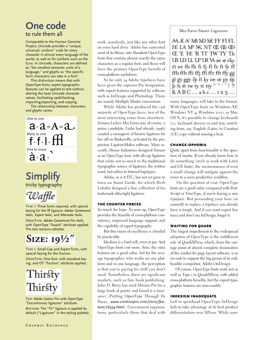## **One code** to rule them all

Comparable to the Human Genome Project, Unicode provides a "unique, universal, uniform" code for every character in almost every language of the world, as well as for symbols such as the Euro. In Unicode, characters are defined as "the smallest semantic units of a language," and glyphs as "the specific form characters can take in a font".

This distinction means that with OpenType fonts, expert typographic features can be applied to text without altering the base Unicode character values, facilitating spellchecking, importing/exporting, and copying.

The relationship between characters and glyphs varies:



## **Simplify** tricky typography

Waffle

Type 1: Three fonts required, with special keying for the ffl ligature: *Adobe Garamond Italic, Expert Italic,* and *Alternate Italic.*

OpenType: *Adobe Garamond Pro Italic,* with OpenType "Swash" attribute applied. The text remains editable.

# SIZE:  $19\frac{1}{2}$ "

Type 1: Small Cap and Expert fonts, with special keying for the fraction. OpenType: One font, with standard keying, and OT "fraction" attribute applied.

# Thirsty Thirsty

Top: *Adobe Caslon Pro* with OpenType "Discretionary ligatures" attribute. BOTTOM: The "Th" ligature is applied by default ("Ligatures" in the styling palette). work, seamlessly, just like any other font on your hard drive. Adobe has converted most of its library into *Standard* OpenType fonts that contain almost exactly the same characters as a regular font, and these will have the primary OpenType benefit of cross-platform usefulness.

So far only 14 Adobe typefaces have been given the superior *Pro* designation, with expert features supported by software such as InDesign and Photoshop. These are mainly Multiple Master conversions.

While Adobe has produced the vast majority of OpenType faces, two of the most interesting come from elsewhere. Zuzana Licko's *Mrs Eaves* was, of course, a prime candidate; Licko had already (1996) created a menagerie of bizarre ligatures for her riff on Baskerville, activated by the proprietary LigatureMaker software. More recently, House Industries designed *Simian* as an OpenType font, with all-cap ligatures that relate not so much to the traditional typographic source of ligatures, the written word, but rather to lettered logotypes.

Adobe, or is it ITC, has not yet gone to town on *Avant Garde,* for which Herb Lubalin designed a fine collection of his trademark ultra-tight ligatures.

### THE COUNTER FORCES

So much for hype. To sum up, OpenType provides the benefits of cross-platform consistency, improved language support, and the capability of expert typography.

But this vision of excellence is clouded by practicality.

Idealism is a hard sell, even at par. And OpenType fonts cost more. Sure, the extra features are a good value, but for the average typographer, who works on one platform and in one language, the perception is that you're paying for stuff you don't need. Nonetheless, there are significant markets, such as fine book publishing. John D. Berry has used *Minion Pro* for a large book of poetry and found it a timesaver (*Putting OpenType Through Its Paces, www.creativepro.com/story/feature/16934.html*). Government organizations, particularly those that deal with

### Mrs Eaves Smart Ligatures

AA Æ A/ MB MD ME FF FI FL **HELAMNKNTOCOGOO** Œ E Œ R TT TW TY Th UB UD UL UP UR VA ae ae cky ct ee fb fh fi fj fl fr ft fy ff ffb ffh ffi ffi ffl ffr fft ffy gg gi gy ggy ip it ky oe œ py sp s is st tw ty tt tty ""''!? & A B C ... a b c ... 123...

many languages, will take to the format. With OpenType fonts on Windows XP, Windows NT 4, Windows 2000, or Mac OS X, it's possible to change keyboards (i.e. keyboard drivers) in mid text, switching from, say, English (Latin) to Croatian (CE) copy without missing a beat.

### CHANGE-OPHOBIA

Quite apart from functionality is the question of inertia. If you already know how to do something (such as work with Latin and CE fonts), the inconvenience of even a small change will mitigate against the move to a more productive workflow.

On the question of cost: OpenType fonts are a good value compared with Post-Script or TrueType, *if you're buying a new typeface.* But persuading your boss (or yourself) to replace a typeface you already have is tough. And if you want expert features and don't use InDesign, forget it.

### WAITING FOR QUARK

The largest impediment to the widespread adoption of OpenType is the indifferent role of QuarkXPress, which, from the vantage point of almost complete domination of the market for page layout software, is in no rush to support the big gizmo of its only feasible competitor, Adobe's InDesign.

Of course, OpenType fonts work just as well as Type 1 in QuarkXPress, with added cross-platform benefits, but the expert typographic features are inaccessible.

### INDESIGN INADEQUATE

Left to spearhead OpenType, InDesign fails to take advantage of its best product differentiation over XPress. While non